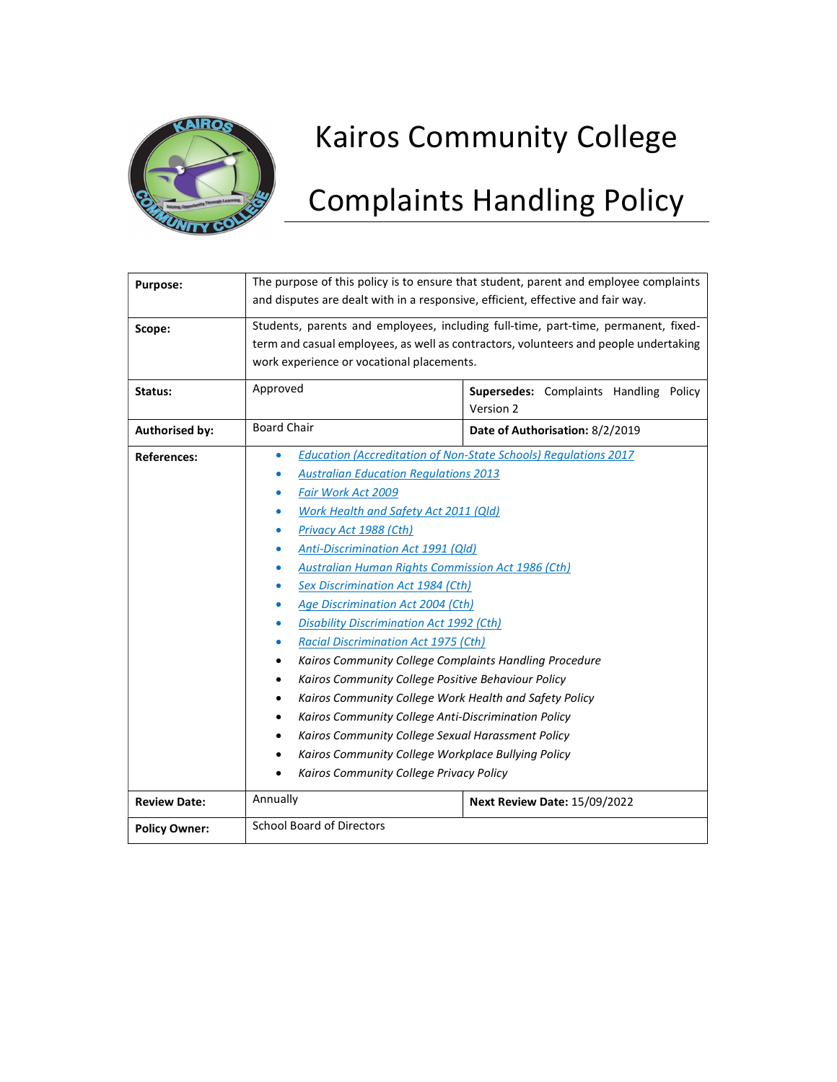

# Kairos Community College

# Complaints Handling Policy

| Purpose:              | The purpose of this policy is to ensure that student, parent and employee complaints<br>and disputes are dealt with in a responsive, efficient, effective and fair way.                                                                                                                                                                                                                                                                                                                                                                                                                                                                                                                                                                                                                                                                                                                                                                                         |                                                     |  |  |  |
|-----------------------|-----------------------------------------------------------------------------------------------------------------------------------------------------------------------------------------------------------------------------------------------------------------------------------------------------------------------------------------------------------------------------------------------------------------------------------------------------------------------------------------------------------------------------------------------------------------------------------------------------------------------------------------------------------------------------------------------------------------------------------------------------------------------------------------------------------------------------------------------------------------------------------------------------------------------------------------------------------------|-----------------------------------------------------|--|--|--|
| Scope:                | Students, parents and employees, including full-time, part-time, permanent, fixed-<br>term and casual employees, as well as contractors, volunteers and people undertaking<br>work experience or vocational placements.                                                                                                                                                                                                                                                                                                                                                                                                                                                                                                                                                                                                                                                                                                                                         |                                                     |  |  |  |
| Status:               | Approved                                                                                                                                                                                                                                                                                                                                                                                                                                                                                                                                                                                                                                                                                                                                                                                                                                                                                                                                                        | Supersedes: Complaints Handling Policy<br>Version 2 |  |  |  |
| <b>Authorised by:</b> | <b>Board Chair</b>                                                                                                                                                                                                                                                                                                                                                                                                                                                                                                                                                                                                                                                                                                                                                                                                                                                                                                                                              | Date of Authorisation: 8/2/2019                     |  |  |  |
| <b>References:</b>    | <b>Education (Accreditation of Non-State Schools) Regulations 2017</b><br>$\bullet$<br><b>Australian Education Regulations 2013</b><br>Fair Work Act 2009<br><b>Work Health and Safety Act 2011 (Qld)</b><br>Privacy Act 1988 (Cth)<br><b>Anti-Discrimination Act 1991 (Qld)</b><br><b>Australian Human Rights Commission Act 1986 (Cth)</b><br>Sex Discrimination Act 1984 (Cth)<br>Age Discrimination Act 2004 (Cth)<br>۰<br><b>Disability Discrimination Act 1992 (Cth)</b><br>۰<br><b>Racial Discrimination Act 1975 (Cth)</b><br>۰<br>Kairos Community College Complaints Handling Procedure<br>٠<br>Kairos Community College Positive Behaviour Policy<br>٠<br>Kairos Community College Work Health and Safety Policy<br>$\bullet$<br>Kairos Community College Anti-Discrimination Policy<br>٠<br>Kairos Community College Sexual Harassment Policy<br>٠<br>Kairos Community College Workplace Bullying Policy<br>Kairos Community College Privacy Policy |                                                     |  |  |  |
| <b>Review Date:</b>   | Annually                                                                                                                                                                                                                                                                                                                                                                                                                                                                                                                                                                                                                                                                                                                                                                                                                                                                                                                                                        | <b>Next Review Date: 15/09/2022</b>                 |  |  |  |
| <b>Policy Owner:</b>  | <b>School Board of Directors</b>                                                                                                                                                                                                                                                                                                                                                                                                                                                                                                                                                                                                                                                                                                                                                                                                                                                                                                                                |                                                     |  |  |  |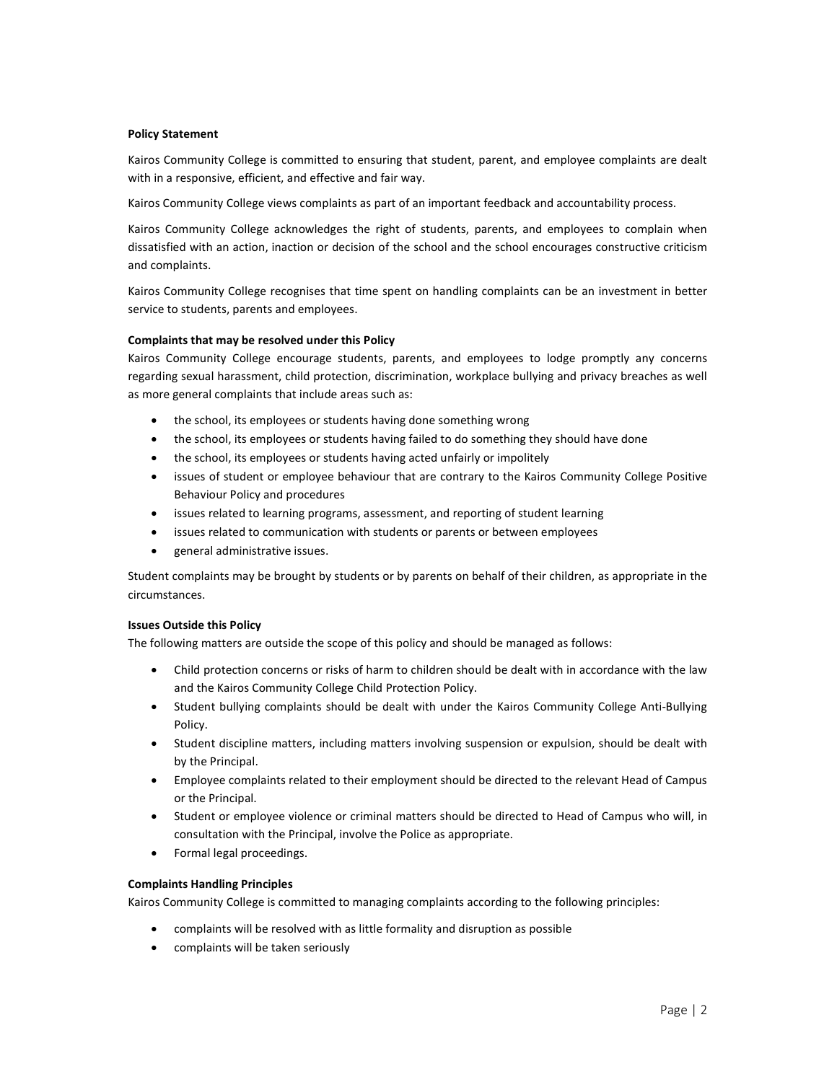#### Policy Statement

Kairos Community College is committed to ensuring that student, parent, and employee complaints are dealt with in a responsive, efficient, and effective and fair way.

Kairos Community College views complaints as part of an important feedback and accountability process.

Kairos Community College acknowledges the right of students, parents, and employees to complain when dissatisfied with an action, inaction or decision of the school and the school encourages constructive criticism and complaints.

Kairos Community College recognises that time spent on handling complaints can be an investment in better service to students, parents and employees.

# Complaints that may be resolved under this Policy

Kairos Community College encourage students, parents, and employees to lodge promptly any concerns regarding sexual harassment, child protection, discrimination, workplace bullying and privacy breaches as well as more general complaints that include areas such as:

- the school, its employees or students having done something wrong
- the school, its employees or students having failed to do something they should have done
- the school, its employees or students having acted unfairly or impolitely
- issues of student or employee behaviour that are contrary to the Kairos Community College Positive Behaviour Policy and procedures
- issues related to learning programs, assessment, and reporting of student learning
- issues related to communication with students or parents or between employees
- general administrative issues.

Student complaints may be brought by students or by parents on behalf of their children, as appropriate in the circumstances.

#### Issues Outside this Policy

The following matters are outside the scope of this policy and should be managed as follows:

- Child protection concerns or risks of harm to children should be dealt with in accordance with the law and the Kairos Community College Child Protection Policy.
- Student bullying complaints should be dealt with under the Kairos Community College Anti-Bullying Policy.
- Student discipline matters, including matters involving suspension or expulsion, should be dealt with by the Principal.
- Employee complaints related to their employment should be directed to the relevant Head of Campus or the Principal.
- Student or employee violence or criminal matters should be directed to Head of Campus who will, in consultation with the Principal, involve the Police as appropriate.
- Formal legal proceedings.

# Complaints Handling Principles

Kairos Community College is committed to managing complaints according to the following principles:

- complaints will be resolved with as little formality and disruption as possible
- complaints will be taken seriously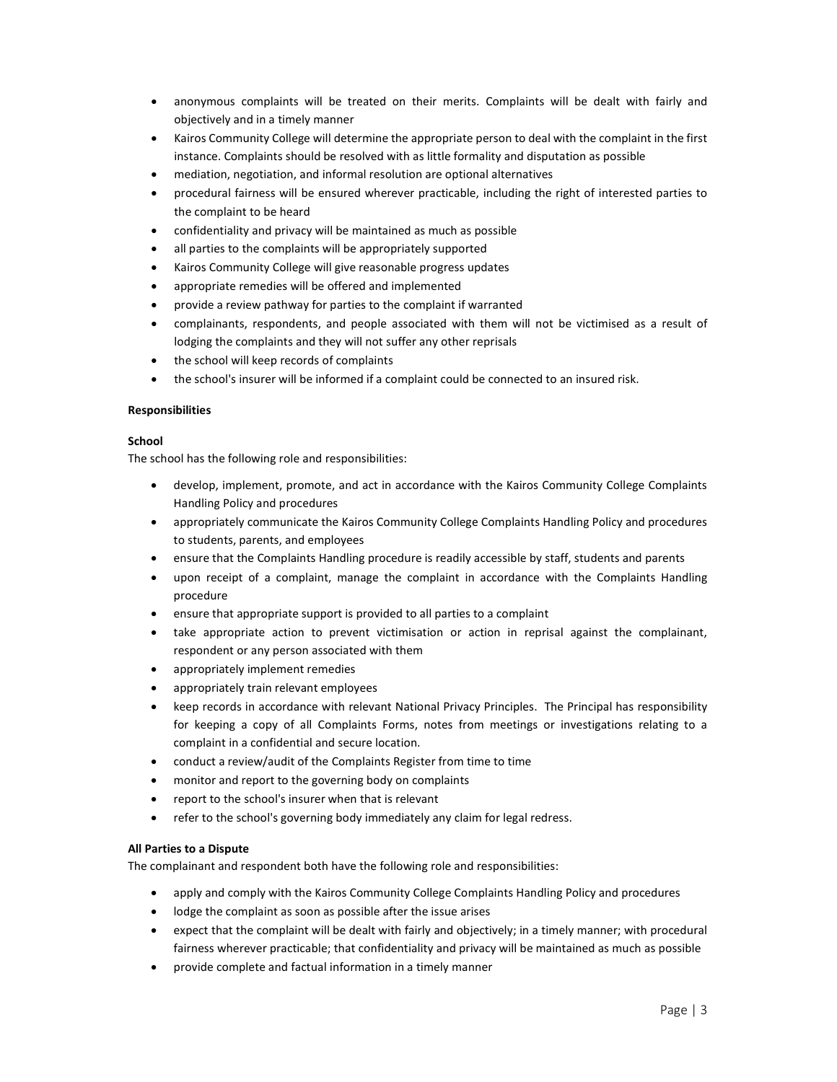- anonymous complaints will be treated on their merits. Complaints will be dealt with fairly and objectively and in a timely manner
- Kairos Community College will determine the appropriate person to deal with the complaint in the first instance. Complaints should be resolved with as little formality and disputation as possible
- mediation, negotiation, and informal resolution are optional alternatives
- procedural fairness will be ensured wherever practicable, including the right of interested parties to the complaint to be heard
- confidentiality and privacy will be maintained as much as possible
- all parties to the complaints will be appropriately supported
- Kairos Community College will give reasonable progress updates
- appropriate remedies will be offered and implemented
- provide a review pathway for parties to the complaint if warranted
- complainants, respondents, and people associated with them will not be victimised as a result of lodging the complaints and they will not suffer any other reprisals
- the school will keep records of complaints
- the school's insurer will be informed if a complaint could be connected to an insured risk.

#### **Responsibilities**

#### **School**

The school has the following role and responsibilities:

- develop, implement, promote, and act in accordance with the Kairos Community College Complaints Handling Policy and procedures
- appropriately communicate the Kairos Community College Complaints Handling Policy and procedures to students, parents, and employees
- ensure that the Complaints Handling procedure is readily accessible by staff, students and parents
- upon receipt of a complaint, manage the complaint in accordance with the Complaints Handling procedure
- ensure that appropriate support is provided to all parties to a complaint
- take appropriate action to prevent victimisation or action in reprisal against the complainant, respondent or any person associated with them
- appropriately implement remedies
- appropriately train relevant employees
- keep records in accordance with relevant National Privacy Principles. The Principal has responsibility for keeping a copy of all Complaints Forms, notes from meetings or investigations relating to a complaint in a confidential and secure location.
- conduct a review/audit of the Complaints Register from time to time
- monitor and report to the governing body on complaints
- report to the school's insurer when that is relevant
- refer to the school's governing body immediately any claim for legal redress.

# All Parties to a Dispute

The complainant and respondent both have the following role and responsibilities:

- apply and comply with the Kairos Community College Complaints Handling Policy and procedures
- lodge the complaint as soon as possible after the issue arises
- expect that the complaint will be dealt with fairly and objectively; in a timely manner; with procedural fairness wherever practicable; that confidentiality and privacy will be maintained as much as possible
- provide complete and factual information in a timely manner